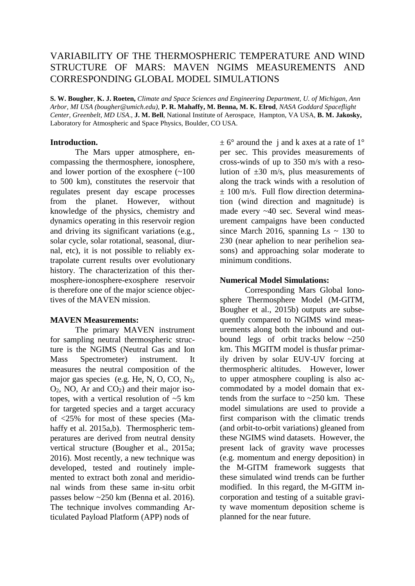# VARIABILITY OF THE THERMOSPHERIC TEMPERATURE AND WIND STRUCTURE OF MARS: MAVEN NGIMS MEASUREMENTS AND CORRESPONDING GLOBAL MODEL SIMULATIONS

**S. W. Bougher**, **K. J. Roeten,** *Climate and Space Sciences and Engineering Department, U. of Michigan, Ann Arbor, MI USA (bougher@umich.edu)*, **P. R. Mahaffy, M. Benna, M. K. Elrod**, *NASA Goddard Spaceflight Center, Greenbelt, MD USA.*, **J. M. Bell**, National Institute of Aerospace, Hampton, VA USA, **B. M. Jakosky,** Laboratory for Atmospheric and Space Physics, Boulder, CO USA.

## **Introduction.**

The Mars upper atmosphere, encompassing the thermosphere, ionosphere, and lower portion of the exosphere  $(~100$ to 500 km), constitutes the reservoir that regulates present day escape processes from the planet. However, without knowledge of the physics, chemistry and dynamics operating in this reservoir region and driving its significant variations (e.g., solar cycle, solar rotational, seasonal, diurnal, etc), it is not possible to reliably extrapolate current results over evolutionary history. The characterization of this thermosphere-ionosphere-exosphere reservoir is therefore one of the major science objectives of the MAVEN mission.

### **MAVEN Measurements:**

The primary MAVEN instrument for sampling neutral thermospheric structure is the NGIMS (Neutral Gas and Ion Mass Spectrometer) instrument. It measures the neutral composition of the major gas species (e.g. He, N, O, CO, N2,  $O_2$ , NO, Ar and  $CO_2$ ) and their major isotopes, with a vertical resolution of ~5 km for targeted species and a target accuracy of <25% for most of these species (Mahaffy et al. 2015a,b). Thermospheric temperatures are derived from neutral density vertical structure (Bougher et al., 2015a; 2016). Most recently, a new technique was developed, tested and routinely implemented to extract both zonal and meridional winds from these same in-situ orbit passes below ~250 km (Benna et al. 2016). The technique involves commanding Articulated Payload Platform (APP) nods of

 $\pm$  6° around the j and k axes at a rate of 1° per sec. This provides measurements of cross-winds of up to 350 m/s with a resolution of  $\pm 30$  m/s, plus measurements of along the track winds with a resolution of  $\pm$  100 m/s. Full flow direction determination (wind direction and magnitude) is made every ~40 sec. Several wind measurement campaigns have been conducted since March 2016, spanning Ls  $\sim$  130 to 230 (near aphelion to near perihelion seasons) and approaching solar moderate to minimum conditions.

# **Numerical Model Simulations:**

Corresponding Mars Global Ionosphere Thermosphere Model (M-GITM, Bougher et al., 2015b) outputs are subsequently compared to NGIMS wind measurements along both the inbound and outbound legs of orbit tracks below ~250 km. This MGITM model is thusfar primarily driven by solar EUV-UV forcing at thermospheric altitudes. However, lower to upper atmosphere coupling is also accommodated by a model domain that extends from the surface to ~250 km. These model simulations are used to provide a first comparison with the climatic trends (and orbit-to-orbit variations) gleaned from these NGIMS wind datasets. However, the present lack of gravity wave processes (e.g. momentum and energy deposition) in the M-GITM framework suggests that these simulated wind trends can be further modified. In this regard, the M-GITM incorporation and testing of a suitable gravity wave momentum deposition scheme is planned for the near future.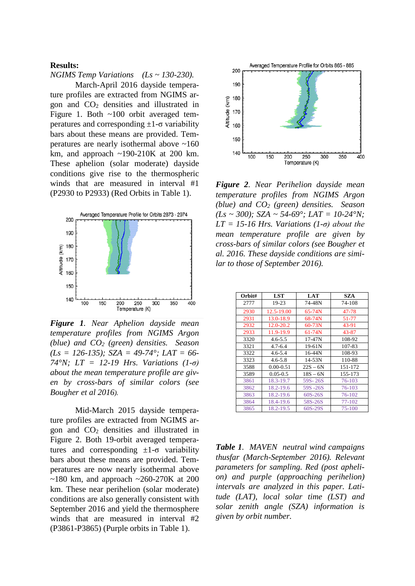### **Results:**

*NGIMS Temp Variations (Ls ~ 130-230).*

March-April 2016 dayside temperature profiles are extracted from NGIMS argon and CO2 densities and illustrated in Figure 1. Both ~100 orbit averaged temperatures and corresponding  $\pm 1$ -σ variability bars about these means are provided. Temperatures are nearly isothermal above ~160 km, and approach  $\sim$ 190-210K at 200 km. These aphelion (solar moderate) dayside conditions give rise to the thermospheric winds that are measured in interval #1 (P2930 to P2933) (Red Orbits in Table 1).



*Figure 1. Near Aphelion dayside mean temperature profiles from NGIMS Argon (blue) and CO2 (green) densities. Season (Ls = 126-135); SZA = 49-74°; LAT = 66- 74°N; LT = 12-19 Hrs. Variations (1-σ) about the mean temperature profile are given by cross-bars of similar colors (see Bougher et al 2016).*

Mid-March 2015 dayside temperature profiles are extracted from NGIMS argon and CO2 densities and illustrated in Figure 2. Both 19-orbit averaged temperatures and corresponding  $\pm 1$ -σ variability bars about these means are provided. Temperatures are now nearly isothermal above  $\sim$ 180 km, and approach  $\sim$ 260-270K at 200 km. These near perihelion (solar moderate) conditions are also generally consistent with September 2016 and yield the thermosphere winds that are measured in interval #2 (P3861-P3865) (Purple orbits in Table 1).



*Figure 2. Near Perihelion dayside mean temperature profiles from NGIMS Argon (blue) and CO2 (green) densities. Season (Ls ~ 300); SZA ~ 54-69°; LAT = 10-24°N;*   $LT = 15-16$  *Hrs. Variations (1-* $\sigma$ *) about the mean temperature profile are given by cross-bars of similar colors (see Bougher et al. 2016. These dayside conditions are similar to those of September 2016).*

| Orbit# | LST           | LAT        | SZA        |
|--------|---------------|------------|------------|
| 2777   | 19-23         | 74-48N     | 74-108     |
| 2930   | 12.5-19.00    | $65 - 74N$ | 47-78      |
| 2931   | 13.0-18.9     | 68-74N     | 51-77      |
| 2932   | 12.0-20.2     | $60 - 73N$ | 43-91      |
| 2933   | 11.9-19.9     | $61 - 74N$ | 43-87      |
| 3320   | $4.6 - 5.5$   | $17 - 47N$ | 108-92     |
| 3321   | $4.7 - 6.4$   | 19-61N     | 107-83     |
| 3322   | $4.6 - 5.4$   | $16 - 44N$ | 108-93     |
| 3323   | $4.6 - 5.8$   | $14 - 53N$ | 110-88     |
| 3588   | $0.00 - 0.51$ | $22S - 6N$ | 151-172    |
| 3589   | $0.05 - 0.5$  | $18S - 6N$ | 155-173    |
| 3861   | 18.3-19.7     | 59S-26S    | 76-103     |
| 3862   | 18.2-19.6     | 59S -26S   | 76-103     |
| 3863   | 18.2-19.6     | 60S-26S    | 76-102     |
| 3864   | 18.4-19.6     | 58S-26S    | 77-102     |
| 3865   | 18.2-19.5     | 60S-29S    | $75 - 100$ |

*Table 1. MAVEN neutral wind campaigns thusfar (March-September 2016). Relevant parameters for sampling. Red (post aphelion) and purple (approaching perihelion) intervals are analyzed in this paper. Latitude (LAT), local solar time (LST) and solar zenith angle (SZA) information is given by orbit number.*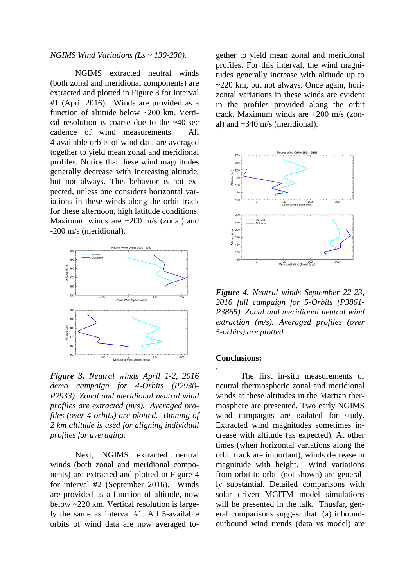*NGIMS Wind Variations (Ls ~ 130-230).*

NGIMS extracted neutral winds (both zonal and meridional components) are extracted and plotted in Figure 3 for interval #1 (April 2016). Winds are provided as a function of altitude below ~200 km. Vertical resolution is coarse due to the ~40-sec cadence of wind measurements. All 4-available orbits of wind data are averaged together to yield mean zonal and meridional profiles. Notice that these wind magnitudes generally decrease with increasing altitude, but not always. This behavior is not expected, unless one considers horizontal variations in these winds along the orbit track for these afternoon, high latitude conditions. Maximum winds are  $+200$  m/s (zonal) and -200 m/s (meridional).



*Figure 3. Neutral winds April 1-2, 2016 demo campaign for 4-Orbits (P2930- P2933). Zonal and meridional neutral wind profiles are extracted (m/s). Averaged profiles (over 4-orbits) are plotted. Binning of 2 km altitude is used for aligning individual profiles for averaging.*

Next, NGIMS extracted neutral winds (both zonal and meridional components) are extracted and plotted in Figure 4 for interval #2 (September 2016). Winds are provided as a function of altitude, now below ~220 km. Vertical resolution is largely the same as interval #1. All 5-available orbits of wind data are now averaged together to yield mean zonal and meridional profiles. For this interval, the wind magnitudes generally increase with altitude up to ~220 km, but not always. Once again, horizontal variations in these winds are evident in the profiles provided along the orbit track. Maximum winds are +200 m/s (zonal) and  $+340$  m/s (meridional).



*Figure 4. Neutral winds September 22-23, 2016 full campaign for 5-Orbits (P3861- P3865). Zonal and meridional neutral wind extraction (m/s). Averaged profiles (over 5-orbits) are plotted.*

#### **Conclusions:**

.

The first in-situ measurements of neutral thermospheric zonal and meridional winds at these altitudes in the Martian thermosphere are presented. Two early NGIMS wind campaigns are isolated for study. Extracted wind magnitudes sometimes increase with altitude (as expected). At other times (when horizontal variations along the orbit track are important), winds decrease in magnitude with height. Wind variations from orbit-to-orbit (not shown) are generally substantial. Detailed comparisons with solar driven MGITM model simulations will be presented in the talk. Thusfar, general comparisons suggest that: (a) inboundoutbound wind trends (data vs model) are